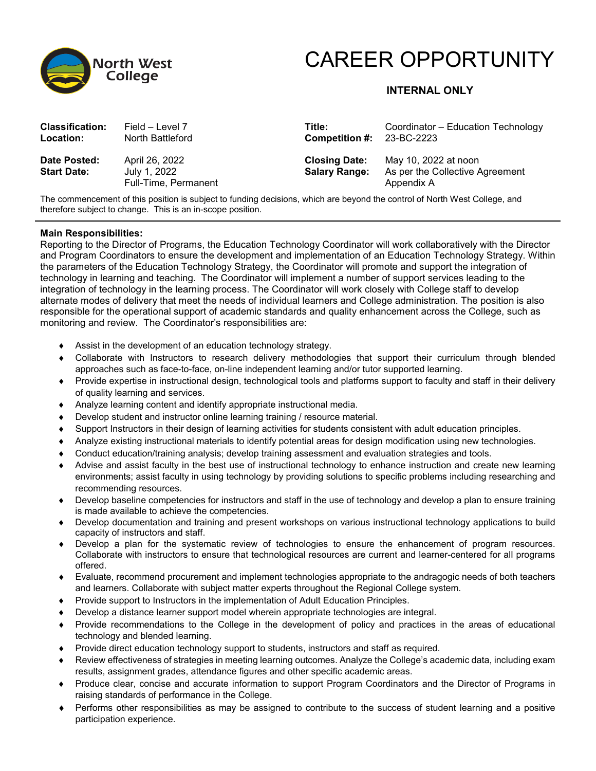

# CAREER OPPORTUNITY

## **INTERNAL ONLY**

| <b>Classification:</b>             | Field – Level 7                                        | Title:                                       | Coordinator – Education Technology                                    |
|------------------------------------|--------------------------------------------------------|----------------------------------------------|-----------------------------------------------------------------------|
| Location:                          | North Battleford                                       | Competition #: $23-BC-2223$                  |                                                                       |
| Date Posted:<br><b>Start Date:</b> | April 26, 2022<br>July 1, 2022<br>Full-Time, Permanent | <b>Closing Date:</b><br><b>Salary Range:</b> | May 10, 2022 at noon<br>As per the Collective Agreement<br>Appendix A |

The commencement of this position is subject to funding decisions, which are beyond the control of North West College, and therefore subject to change. This is an in-scope position.

#### **Main Responsibilities:**

Reporting to the Director of Programs, the Education Technology Coordinator will work collaboratively with the Director and Program Coordinators to ensure the development and implementation of an Education Technology Strategy. Within the parameters of the Education Technology Strategy, the Coordinator will promote and support the integration of technology in learning and teaching. The Coordinator will implement a number of support services leading to the integration of technology in the learning process. The Coordinator will work closely with College staff to develop alternate modes of delivery that meet the needs of individual learners and College administration. The position is also responsible for the operational support of academic standards and quality enhancement across the College, such as monitoring and review. The Coordinator's responsibilities are:

- ♦ Assist in the development of an education technology strategy.
- ♦ Collaborate with Instructors to research delivery methodologies that support their curriculum through blended approaches such as face-to-face, on-line independent learning and/or tutor supported learning.
- ♦ Provide expertise in instructional design, technological tools and platforms support to faculty and staff in their delivery of quality learning and services.
- ♦ Analyze learning content and identify appropriate instructional media.
- ♦ Develop student and instructor online learning training / resource material.
- ♦ Support Instructors in their design of learning activities for students consistent with adult education principles.
- ♦ Analyze existing instructional materials to identify potential areas for design modification using new technologies.
- ♦ Conduct education/training analysis; develop training assessment and evaluation strategies and tools.
- ♦ Advise and assist faculty in the best use of instructional technology to enhance instruction and create new learning environments; assist faculty in using technology by providing solutions to specific problems including researching and recommending resources.
- ♦ Develop baseline competencies for instructors and staff in the use of technology and develop a plan to ensure training is made available to achieve the competencies.
- ♦ Develop documentation and training and present workshops on various instructional technology applications to build capacity of instructors and staff.
- ♦ Develop a plan for the systematic review of technologies to ensure the enhancement of program resources. Collaborate with instructors to ensure that technological resources are current and learner-centered for all programs offered.
- ♦ Evaluate, recommend procurement and implement technologies appropriate to the andragogic needs of both teachers and learners. Collaborate with subject matter experts throughout the Regional College system.
- ♦ Provide support to Instructors in the implementation of Adult Education Principles.
- ♦ Develop a distance learner support model wherein appropriate technologies are integral.
- ♦ Provide recommendations to the College in the development of policy and practices in the areas of educational technology and blended learning.
- ♦ Provide direct education technology support to students, instructors and staff as required.
- ♦ Review effectiveness of strategies in meeting learning outcomes. Analyze the College's academic data, including exam results, assignment grades, attendance figures and other specific academic areas.
- ♦ Produce clear, concise and accurate information to support Program Coordinators and the Director of Programs in raising standards of performance in the College.
- ♦ Performs other responsibilities as may be assigned to contribute to the success of student learning and a positive participation experience.